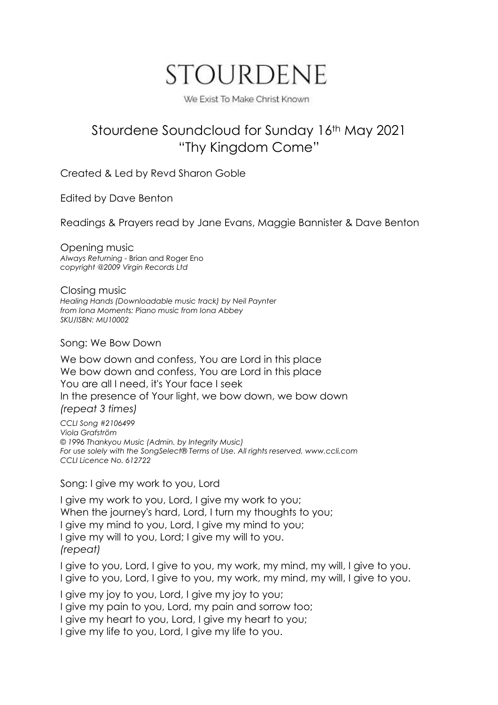# STOURDENE

We Exist To Make Christ Known

## Stourdene Soundcloud for Sunday 16th May 2021 "Thy Kingdom Come"

Created & Led by Revd Sharon Goble

Edited by Dave Benton

Readings & Prayers read by Jane Evans, Maggie Bannister & Dave Benton

Opening music *Always Returning -* Brian and Roger Eno *copyright @2009 Virgin Records Ltd*

Closing music *Healing Hands (Downloadable music track) by Neil [Paynter](https://www.ionabooks.com/catalogsearch/advanced/result/?authors%5b%5d=25) from Iona Moments: Piano music from Iona Abbey SKU/ISBN: MU10002*

Song: We Bow Down

We bow down and confess, You are Lord in this place We bow down and confess, You are Lord in this place You are all I need, it's Your face I seek In the presence of Your light, we bow down, we bow down *(repeat 3 times)*

*CCLI Song #2106499 Viola Grafström © 1996 Thankyou Music (Admin. by Integrity Music) For use solely with the SongSelect® Terms of Use. All rights reserved. www.ccli.com CCLI Licence No. 612722*

Song: I give my work to you, Lord

I give my work to you, Lord, I give my work to you; When the journey's hard, Lord, I turn my thoughts to you; I give my mind to you, Lord, I give my mind to you; I give my will to you, Lord; I give my will to you. *(repeat)*

I give to you, Lord, I give to you, my work, my mind, my will, I give to you. I give to you, Lord, I give to you, my work, my mind, my will, I give to you.

I give my joy to you, Lord, I give my joy to you;

I give my pain to you, Lord, my pain and sorrow too;

I give my heart to you, Lord, I give my heart to you;

I give my life to you, Lord, I give my life to you.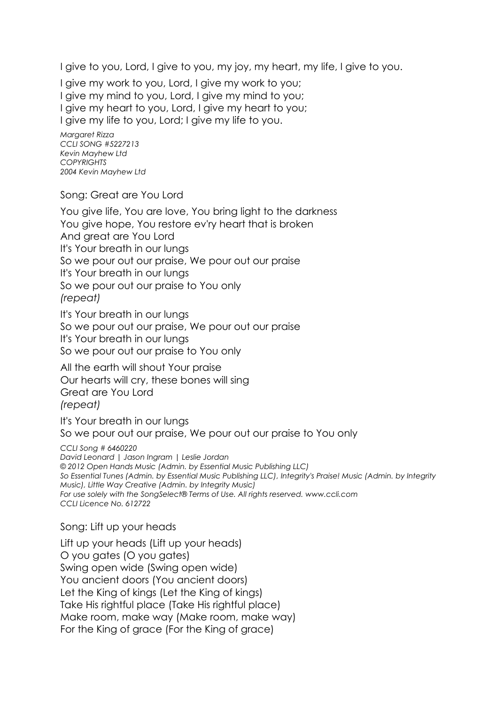I give to you, Lord, I give to you, my joy, my heart, my life, I give to you.

I give my work to you, Lord, I give my work to you; I give my mind to you, Lord, I give my mind to you; I give my heart to you, Lord, I give my heart to you; I give my life to you, Lord; I give my life to you.

*Margaret Rizza CCLI SONG #5227213 Kevin Mayhew Ltd COPYRIGHTS 2004 Kevin Mayhew Ltd*

Song: Great are You Lord

You give life, You are love, You bring light to the darkness You give hope, You restore ev'ry heart that is broken And great are You Lord It's Your breath in our lungs So we pour out our praise, We pour out our praise It's Your breath in our lungs So we pour out our praise to You only *(repeat)*

It's Your breath in our lungs So we pour out our praise, We pour out our praise It's Your breath in our lungs So we pour out our praise to You only

All the earth will shout Your praise Our hearts will cry, these bones will sing Great are You Lord *(repeat)*

It's Your breath in our lungs So we pour out our praise, We pour out our praise to You only

*CCLI Song # 6460220*

*David Leonard | Jason Ingram | Leslie Jordan © 2012 Open Hands Music (Admin. by Essential Music Publishing LLC) So Essential Tunes (Admin. by Essential Music Publishing LLC), Integrity's Praise! Music (Admin. by Integrity Music), Little Way Creative (Admin. by Integrity Music) For use solely with the SongSelect® Terms of Use. All rights reserved. www.ccli.com CCLI Licence No. 612722*

#### Song: Lift up your heads

Lift up your heads (Lift up your heads) O you gates (O you gates) Swing open wide (Swing open wide) You ancient doors (You ancient doors) Let the King of kings (Let the King of kings) Take His rightful place (Take His rightful place) Make room, make way (Make room, make way) For the King of grace (For the King of grace)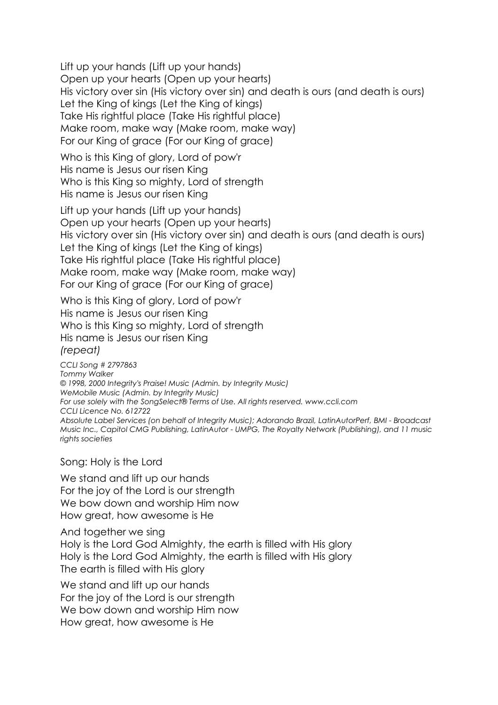Lift up your hands (Lift up your hands) Open up your hearts (Open up your hearts) His victory over sin (His victory over sin) and death is ours (and death is ours) Let the King of kings (Let the King of kings) Take His rightful place (Take His rightful place) Make room, make way (Make room, make way) For our King of grace (For our King of grace)

Who is this King of glory, Lord of pow'r His name is Jesus our risen King Who is this King so mighty, Lord of strength His name is Jesus our risen King

Lift up your hands (Lift up your hands) Open up your hearts (Open up your hearts) His victory over sin (His victory over sin) and death is ours (and death is ours) Let the King of kings (Let the King of kings) Take His rightful place (Take His rightful place) Make room, make way (Make room, make way) For our King of grace (For our King of grace)

Who is this King of glory, Lord of pow'r His name is Jesus our risen King Who is this King so mighty, Lord of strength His name is Jesus our risen King *(repeat)*

*CCLI Song # 2797863 Tommy Walker © 1998, 2000 Integrity's Praise! Music (Admin. by Integrity Music) WeMobile Music (Admin. by Integrity Music) For use solely with the SongSelect® Terms of Use. All rights reserved. www.ccli.com CCLI Licence No. 612722 Absolute Label Services (on behalf of Integrity Music); Adorando Brazil, LatinAutorPerf, BMI - Broadcast Music Inc., Capitol CMG Publishing, LatinAutor - UMPG, The Royalty Network (Publishing), and 11 music rights societies*

Song: Holy is the Lord

We stand and lift up our hands For the joy of the Lord is our strength We bow down and worship Him now How great, how awesome is He

And together we sing

Holy is the Lord God Almighty, the earth is filled with His glory Holy is the Lord God Almighty, the earth is filled with His glory The earth is filled with His glory

We stand and lift up our hands For the joy of the Lord is our strength We bow down and worship Him now How great, how awesome is He